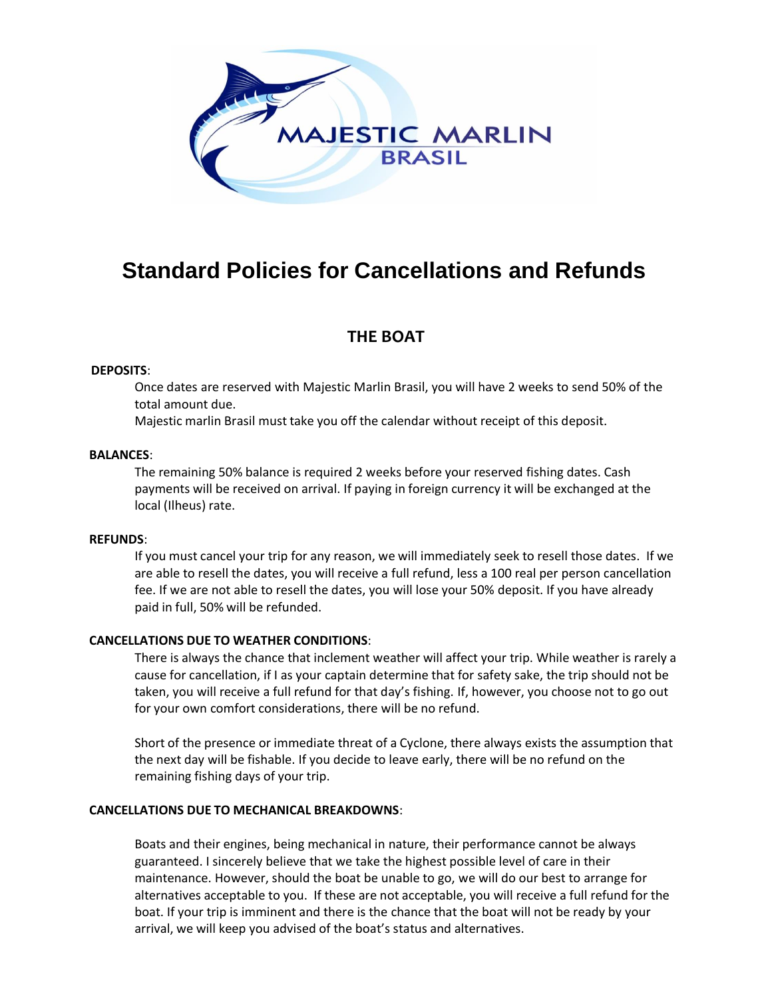

# **Standard Policies for Cancellations and Refunds**

# **THE BOAT**

### **DEPOSITS**:

Once dates are reserved with Majestic Marlin Brasil, you will have 2 weeks to send 50% of the total amount due.

Majestic marlin Brasil must take you off the calendar without receipt of this deposit.

#### **BALANCES**:

The remaining 50% balance is required 2 weeks before your reserved fishing dates. Cash payments will be received on arrival. If paying in foreign currency it will be exchanged at the local (Ilheus) rate.

#### **REFUNDS**:

If you must cancel your trip for any reason, we will immediately seek to resell those dates. If we are able to resell the dates, you will receive a full refund, less a 100 real per person cancellation fee. If we are not able to resell the dates, you will lose your 50% deposit. If you have already paid in full, 50% will be refunded.

#### **CANCELLATIONS DUE TO WEATHER CONDITIONS**:

There is always the chance that inclement weather will affect your trip. While weather is rarely a cause for cancellation, if I as your captain determine that for safety sake, the trip should not be taken, you will receive a full refund for that day's fishing. If, however, you choose not to go out for your own comfort considerations, there will be no refund.

Short of the presence or immediate threat of a Cyclone, there always exists the assumption that the next day will be fishable. If you decide to leave early, there will be no refund on the remaining fishing days of your trip.

## **CANCELLATIONS DUE TO MECHANICAL BREAKDOWNS**:

Boats and their engines, being mechanical in nature, their performance cannot be always guaranteed. I sincerely believe that we take the highest possible level of care in their maintenance. However, should the boat be unable to go, we will do our best to arrange for alternatives acceptable to you. If these are not acceptable, you will receive a full refund for the boat. If your trip is imminent and there is the chance that the boat will not be ready by your arrival, we will keep you advised of the boat's status and alternatives.